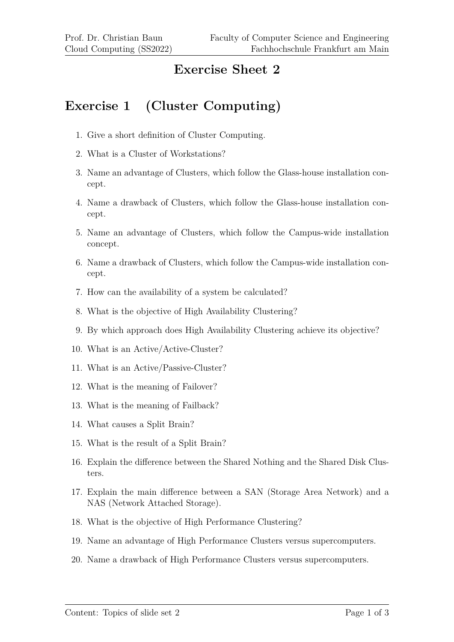## **Exercise Sheet 2**

## **Exercise 1 (Cluster Computing)**

- 1. Give a short definition of Cluster Computing.
- 2. What is a Cluster of Workstations?
- 3. Name an advantage of Clusters, which follow the Glass-house installation concept.
- 4. Name a drawback of Clusters, which follow the Glass-house installation concept.
- 5. Name an advantage of Clusters, which follow the Campus-wide installation concept.
- 6. Name a drawback of Clusters, which follow the Campus-wide installation concept.
- 7. How can the availability of a system be calculated?
- 8. What is the objective of High Availability Clustering?
- 9. By which approach does High Availability Clustering achieve its objective?
- 10. What is an Active/Active-Cluster?
- 11. What is an Active/Passive-Cluster?
- 12. What is the meaning of Failover?
- 13. What is the meaning of Failback?
- 14. What causes a Split Brain?
- 15. What is the result of a Split Brain?
- 16. Explain the difference between the Shared Nothing and the Shared Disk Clusters.
- 17. Explain the main difference between a SAN (Storage Area Network) and a NAS (Network Attached Storage).
- 18. What is the objective of High Performance Clustering?
- 19. Name an advantage of High Performance Clusters versus supercomputers.
- 20. Name a drawback of High Performance Clusters versus supercomputers.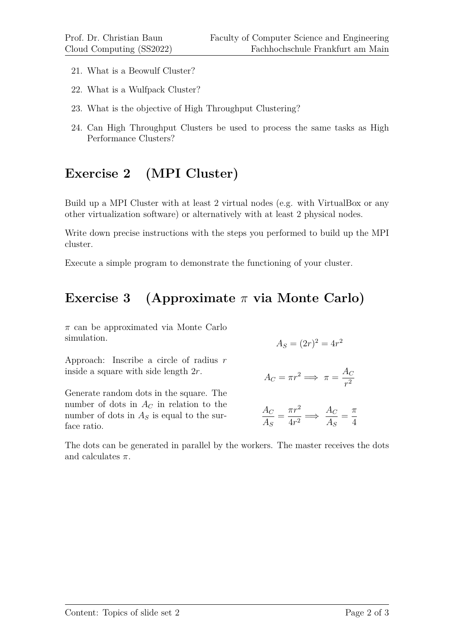- 21. What is a Beowulf Cluster?
- 22. What is a Wulfpack Cluster?
- 23. What is the objective of High Throughput Clustering?
- 24. Can High Throughput Clusters be used to process the same tasks as High Performance Clusters?

## **Exercise 2 (MPI Cluster)**

Build up a MPI Cluster with at least 2 virtual nodes (e.g. with VirtualBox or any other virtualization software) or alternatively with at least 2 physical nodes.

Write down precise instructions with the steps you performed to build up the MPI cluster.

Execute a simple program to demonstrate the functioning of your cluster.

## **Exercise 3 (Approximate** *π* **via Monte Carlo)**

*π* can be approximated via Monte Carlo simulation.

Approach: Inscribe a circle of radius *r*

inside a square with side length 2*r*.

Generate random dots in the square. The number of dots in  $A_C$  in relation to the number of dots in  $A<sub>S</sub>$  is equal to the surface ratio.

$$
A_S = (2r)^2 = 4r^2
$$

$$
A_C = \pi r^2 \Longrightarrow \pi = \frac{A_C}{r^2}
$$

$$
\frac{A_C}{A_S} = \frac{\pi r^2}{4r^2} \implies \frac{A_C}{A_S} = \frac{\pi}{4}
$$

The dots can be generated in parallel by the workers. The master receives the dots and calculates *π*.